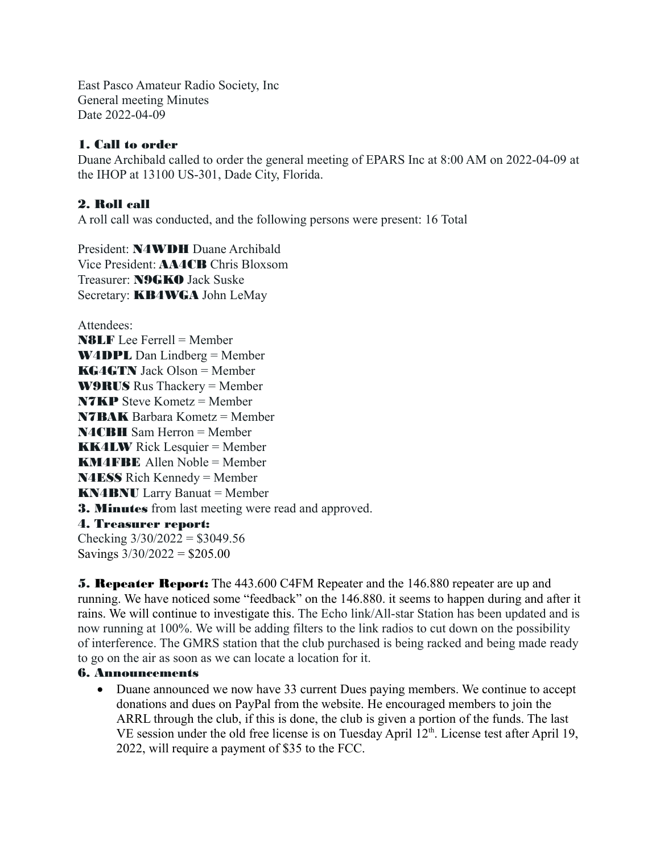East Pasco Amateur Radio Society, Inc General meeting Minutes Date 2022-04-09

## 1. Call to order

Duane Archibald called to order the general meeting of EPARS Inc at 8:00 AM on 2022-04-09 at the IHOP at 13100 US-301, Dade City, Florida.

## 2. Roll call

A roll call was conducted, and the following persons were present: 16 Total

President: N4WDH Duane Archibald Vice President: AA4CB Chris Bloxsom Treasurer: **N9GKO** Jack Suske Secretary: **KB4WGA** John LeMay

Attendees: N8LF Lee Ferrell = Member W4DPL Dan Lindberg = Member KG4GTN Jack Olson = Member W9RUS Rus Thackery = Member N7KP Steve Kometz = Member N7BAK Barbara Kometz = Member N4CBH Sam Herron = Member **KK4LW** Rick Lesquier = Member KM4FBE Allen Noble = Member N4ESS Rich Kennedy = Member KN4BNU Larry Banuat = Member 3. Minutes from last meeting were read and approved. 4. Treasurer report: Checking  $3/30/2022 = $3049.56$ Savings  $3/30/2022 = $205.00$ 

**5. Repeater Report:** The 443.600 C4FM Repeater and the 146.880 repeater are up and running. We have noticed some "feedback" on the 146.880. it seems to happen during and after it rains. We will continue to investigate this. The Echo link/All-star Station has been updated and is now running at 100%. We will be adding filters to the link radios to cut down on the possibility of interference. The GMRS station that the club purchased is being racked and being made ready to go on the air as soon as we can locate a location for it.

## 6. Announcements

• Duane announced we now have 33 current Dues paying members. We continue to accept donations and dues on PayPal from the website. He encouraged members to join the ARRL through the club, if this is done, the club is given a portion of the funds. The last VE session under the old free license is on Tuesday April  $12<sup>th</sup>$ . License test after April 19, 2022, will require a payment of \$35 to the FCC.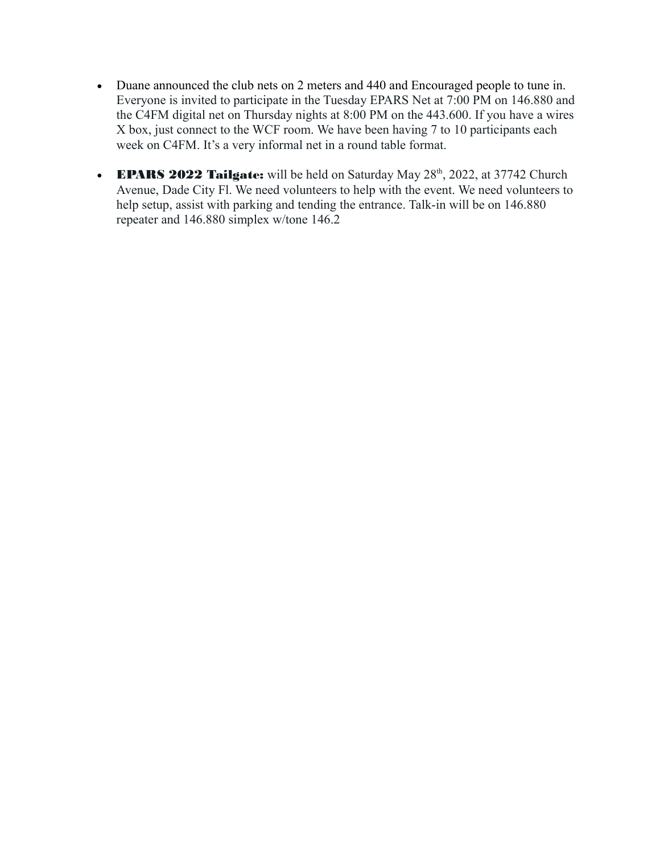- Duane announced the club nets on 2 meters and 440 and Encouraged people to tune in. Everyone is invited to participate in the Tuesday EPARS Net at 7:00 PM on 146.880 and the C4FM digital net on Thursday nights at 8:00 PM on the 443.600. If you have a wires X box, just connect to the WCF room. We have been having 7 to 10 participants each week on C4FM. It's a very informal net in a round table format.
- **EPARS 2022 Tailgate:** will be held on Saturday May  $28<sup>th</sup>$ , 2022, at 37742 Church Avenue, Dade City Fl. We need volunteers to help with the event. We need volunteers to help setup, assist with parking and tending the entrance. Talk-in will be on 146.880 repeater and 146.880 simplex w/tone 146.2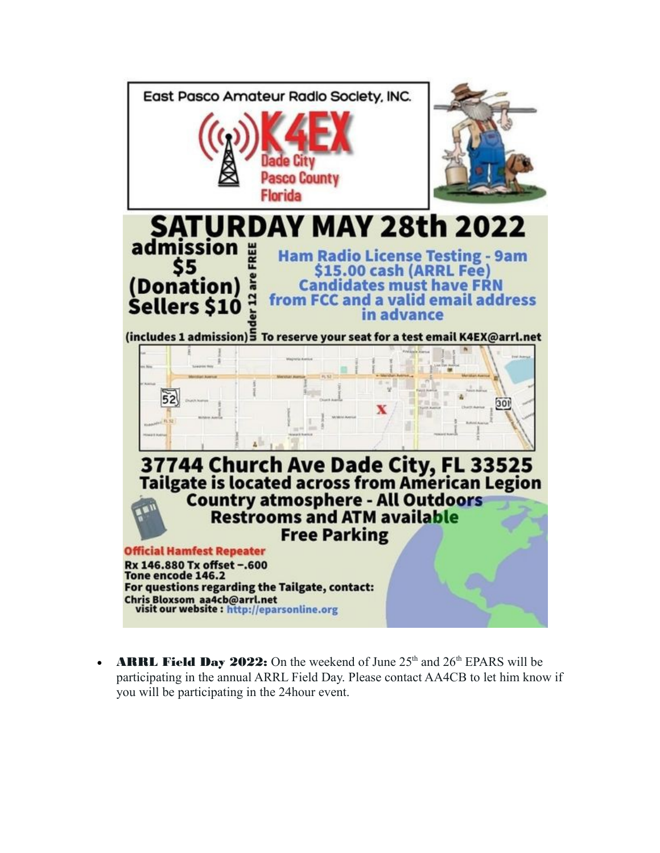

**ARRL Field Day 2022:** On the weekend of June  $25<sup>th</sup>$  and  $26<sup>th</sup>$  EPARS will be participating in the annual ARRL Field Day. Please contact AA4CB to let him know if you will be participating in the 24hour event.